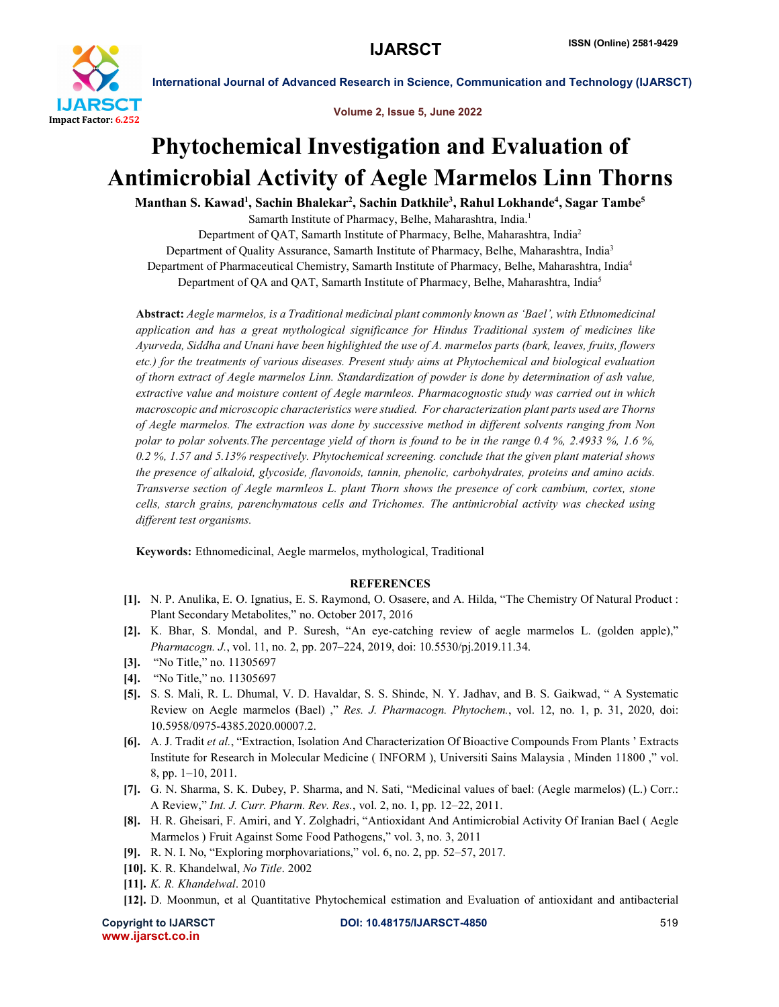

International Journal of Advanced Research in Science, Communication and Technology (IJARSCT)

Volume 2, Issue 5, June 2022

## Phytochemical Investigation and Evaluation of Antimicrobial Activity of Aegle Marmelos Linn Thorns

Manthan S. Kawad<sup>1</sup>, Sachin Bhalekar<sup>2</sup>, Sachin Datkhile<sup>3</sup>, Rahul Lokhande<sup>4</sup>, Sagar Tambe<sup>5</sup>

Samarth Institute of Pharmacy, Belhe, Maharashtra, India.1

Department of QAT, Samarth Institute of Pharmacy, Belhe, Maharashtra, India2

Department of Quality Assurance, Samarth Institute of Pharmacy, Belhe, Maharashtra, India<sup>3</sup>

Department of Pharmaceutical Chemistry, Samarth Institute of Pharmacy, Belhe, Maharashtra, India4 Department of QA and QAT, Samarth Institute of Pharmacy, Belhe, Maharashtra, India5

Abstract: *Aegle marmelos, is a Traditional medicinal plant commonly known as 'Bael', with Ethnomedicinal application and has a great mythological significance for Hindus Traditional system of medicines like Ayurveda, Siddha and Unani have been highlighted the use of A. marmelos parts (bark, leaves, fruits, flowers etc.) for the treatments of various diseases. Present study aims at Phytochemical and biological evaluation of thorn extract of Aegle marmelos Linn. Standardization of powder is done by determination of ash value, extractive value and moisture content of Aegle marmleos. Pharmacognostic study was carried out in which macroscopic and microscopic characteristics were studied. For characterization plant parts used are Thorns of Aegle marmelos. The extraction was done by successive method in different solvents ranging from Non polar to polar solvents.The percentage yield of thorn is found to be in the range 0.4 %, 2.4933 %, 1.6 %, 0.2 %, 1.57 and 5.13% respectively. Phytochemical screening. conclude that the given plant material shows the presence of alkaloid, glycoside, flavonoids, tannin, phenolic, carbohydrates, proteins and amino acids. Transverse section of Aegle marmleos L. plant Thorn shows the presence of cork cambium, cortex, stone cells, starch grains, parenchymatous cells and Trichomes. The antimicrobial activity was checked using different test organisms.*

Keywords: Ethnomedicinal, Aegle marmelos, mythological, Traditional

## **REFERENCES**

- [1]. N. P. Anulika, E. O. Ignatius, E. S. Raymond, O. Osasere, and A. Hilda, "The Chemistry Of Natural Product : Plant Secondary Metabolites," no. October 2017, 2016
- [2]. K. Bhar, S. Mondal, and P. Suresh, "An eye-catching review of aegle marmelos L. (golden apple)," *Pharmacogn. J.*, vol. 11, no. 2, pp. 207–224, 2019, doi: 10.5530/pj.2019.11.34.
- [3]. "No Title," no. 11305697
- [4]. "No Title," no. 11305697
- [5]. S. S. Mali, R. L. Dhumal, V. D. Havaldar, S. S. Shinde, N. Y. Jadhav, and B. S. Gaikwad, " A Systematic Review on Aegle marmelos (Bael) ," *Res. J. Pharmacogn. Phytochem.*, vol. 12, no. 1, p. 31, 2020, doi: 10.5958/0975-4385.2020.00007.2.
- [6]. A. J. Tradit *et al.*, "Extraction, Isolation And Characterization Of Bioactive Compounds From Plants ' Extracts Institute for Research in Molecular Medicine ( INFORM ), Universiti Sains Malaysia , Minden 11800 ," vol. 8, pp. 1–10, 2011.
- [7]. G. N. Sharma, S. K. Dubey, P. Sharma, and N. Sati, "Medicinal values of bael: (Aegle marmelos) (L.) Corr.: A Review," *Int. J. Curr. Pharm. Rev. Res.*, vol. 2, no. 1, pp. 12–22, 2011.
- [8]. H. R. Gheisari, F. Amiri, and Y. Zolghadri, "Antioxidant And Antimicrobial Activity Of Iranian Bael ( Aegle Marmelos ) Fruit Against Some Food Pathogens," vol. 3, no. 3, 2011
- [9]. R. N. I. No, "Exploring morphovariations," vol. 6, no. 2, pp. 52–57, 2017.
- [10]. K. R. Khandelwal, *No Title*. 2002
- [11]. *K. R. Khandelwal*. 2010
- [12]. D. Moonmun, et al Quantitative Phytochemical estimation and Evaluation of antioxidant and antibacterial